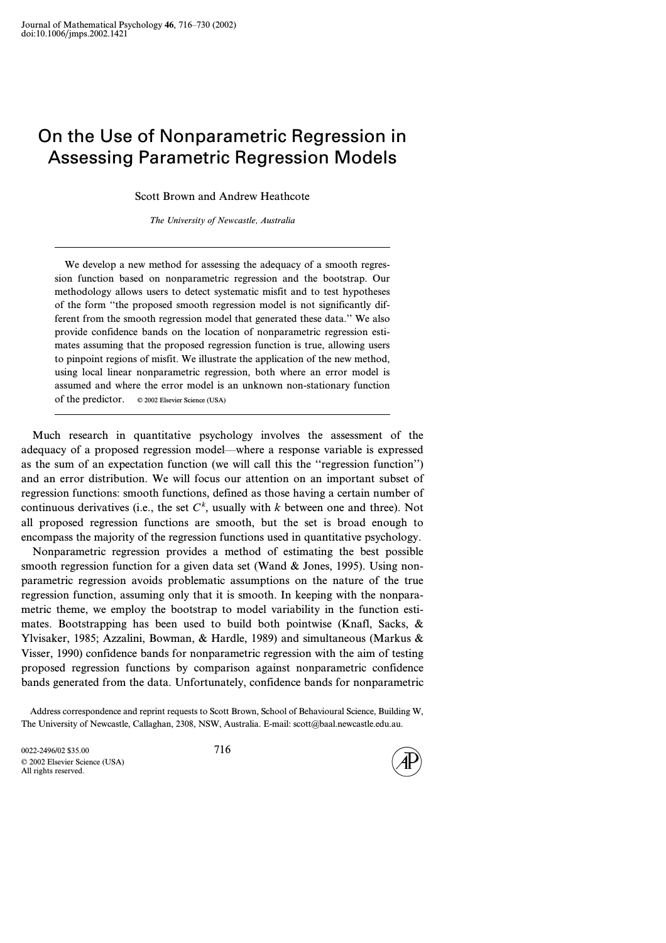# On the Use of Nonparametric Regression in Assessing Parametric Regression Models

Scott Brown and Andrew Heathcote

*The University of Newcastle, Australia*

We develop a new method for assessing the adequacy of a smooth regression function based on nonparametric regression and the bootstrap. Our methodology allows users to detect systematic misfit and to test hypotheses of the form ''the proposed smooth regression model is not significantly different from the smooth regression model that generated these data.'' We also provide confidence bands on the location of nonparametric regression estimates assuming that the proposed regression function is true, allowing users to pinpoint regions of misfit. We illustrate the application of the new method, using local linear nonparametric regression, both where an error model is assumed and where the error model is an unknown non-stationary function of the predictor. © 2002 Elsevier Science (USA)

Much research in quantitative psychology involves the assessment of the adequacy of a proposed regression model—where a response variable is expressed as the sum of an expectation function (we will call this the ''regression function'') and an error distribution. We will focus our attention on an important subset of regression functions: smooth functions, defined as those having a certain number of continuous derivatives (i.e., the set  $C<sup>k</sup>$ , usually with  $k$  between one and three). Not all proposed regression functions are smooth, but the set is broad enough to encompass the majority of the regression functions used in quantitative psychology.

Nonparametric regression provides a method of estimating the best possible smooth regression function for a given data set (Wand  $\&$  Jones, 1995). Using nonparametric regression avoids problematic assumptions on the nature of the true regression function, assuming only that it is smooth. In keeping with the nonparametric theme, we employ the bootstrap to model variability in the function estimates. Bootstrapping has been used to build both pointwise (Knafl, Sacks,  $\&$ Ylvisaker, 1985; Azzalini, Bowman, & Hardle, 1989) and simultaneous (Markus & Visser, 1990) confidence bands for nonparametric regression with the aim of testing proposed regression functions by comparison against nonparametric confidence bands generated from the data. Unfortunately, confidence bands for nonparametric

Address correspondence and reprint requests to Scott Brown, School of Behavioural Science, Building W, The University of Newcastle, Callaghan, 2308, NSW, Australia. E-mail: scott@baal.newcastle.edu.au.

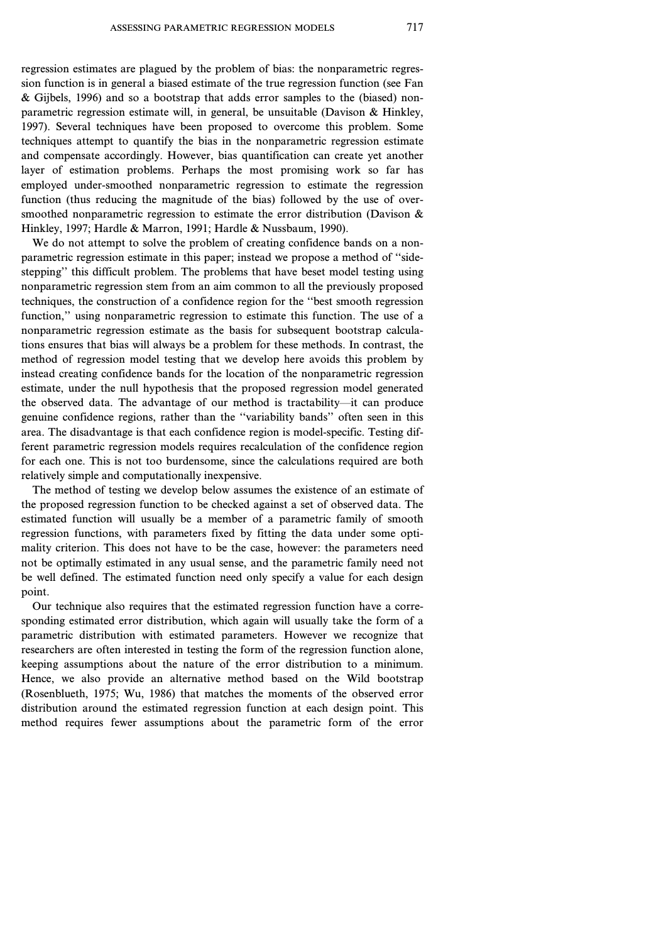regression estimates are plagued by the problem of bias: the nonparametric regression function is in general a biased estimate of the true regression function (see Fan & Gijbels, 1996) and so a bootstrap that adds error samples to the (biased) nonparametric regression estimate will, in general, be unsuitable (Davison  $\&$  Hinkley, 1997). Several techniques have been proposed to overcome this problem. Some techniques attempt to quantify the bias in the nonparametric regression estimate and compensate accordingly. However, bias quantification can create yet another layer of estimation problems. Perhaps the most promising work so far has employed under-smoothed nonparametric regression to estimate the regression function (thus reducing the magnitude of the bias) followed by the use of oversmoothed nonparametric regression to estimate the error distribution (Davison  $\&$ Hinkley, 1997; Hardle & Marron, 1991; Hardle & Nussbaum, 1990).

We do not attempt to solve the problem of creating confidence bands on a nonparametric regression estimate in this paper; instead we propose a method of ''sidestepping'' this difficult problem. The problems that have beset model testing using nonparametric regression stem from an aim common to all the previously proposed techniques, the construction of a confidence region for the ''best smooth regression function," using nonparametric regression to estimate this function. The use of a nonparametric regression estimate as the basis for subsequent bootstrap calculations ensures that bias will always be a problem for these methods. In contrast, the method of regression model testing that we develop here avoids this problem by instead creating confidence bands for the location of the nonparametric regression estimate, under the null hypothesis that the proposed regression model generated the observed data. The advantage of our method is tractability—it can produce genuine confidence regions, rather than the ''variability bands'' often seen in this area. The disadvantage is that each confidence region is model-specific. Testing different parametric regression models requires recalculation of the confidence region for each one. This is not too burdensome, since the calculations required are both relatively simple and computationally inexpensive.

The method of testing we develop below assumes the existence of an estimate of the proposed regression function to be checked against a set of observed data. The estimated function will usually be a member of a parametric family of smooth regression functions, with parameters fixed by fitting the data under some optimality criterion. This does not have to be the case, however: the parameters need not be optimally estimated in any usual sense, and the parametric family need not be well defined. The estimated function need only specify a value for each design point.

Our technique also requires that the estimated regression function have a corresponding estimated error distribution, which again will usually take the form of a parametric distribution with estimated parameters. However we recognize that researchers are often interested in testing the form of the regression function alone, keeping assumptions about the nature of the error distribution to a minimum. Hence, we also provide an alternative method based on the Wild bootstrap (Rosenblueth, 1975; Wu, 1986) that matches the moments of the observed error distribution around the estimated regression function at each design point. This method requires fewer assumptions about the parametric form of the error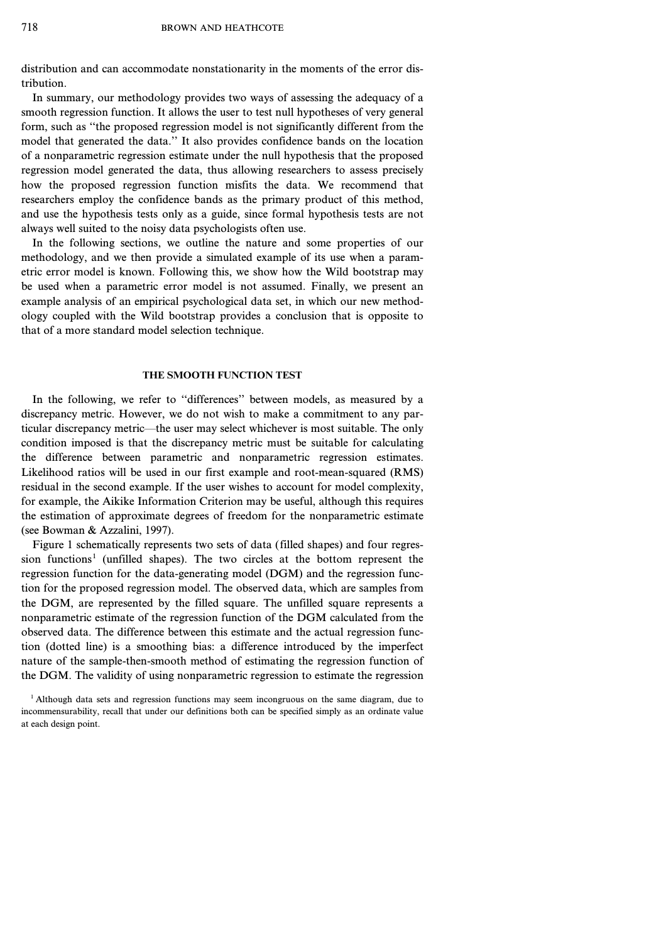distribution and can accommodate nonstationarity in the moments of the error distribution.

In summary, our methodology provides two ways of assessing the adequacy of a smooth regression function. It allows the user to test null hypotheses of very general form, such as ''the proposed regression model is not significantly different from the model that generated the data.'' It also provides confidence bands on the location of a nonparametric regression estimate under the null hypothesis that the proposed regression model generated the data, thus allowing researchers to assess precisely how the proposed regression function misfits the data. We recommend that researchers employ the confidence bands as the primary product of this method, and use the hypothesis tests only as a guide, since formal hypothesis tests are not always well suited to the noisy data psychologists often use.

In the following sections, we outline the nature and some properties of our methodology, and we then provide a simulated example of its use when a parametric error model is known. Following this, we show how the Wild bootstrap may be used when a parametric error model is not assumed. Finally, we present an example analysis of an empirical psychological data set, in which our new methodology coupled with the Wild bootstrap provides a conclusion that is opposite to that of a more standard model selection technique.

### **THE SMOOTH FUNCTION TEST**

In the following, we refer to ''differences'' between models, as measured by a discrepancy metric. However, we do not wish to make a commitment to any particular discrepancy metric—the user may select whichever is most suitable. The only condition imposed is that the discrepancy metric must be suitable for calculating the difference between parametric and nonparametric regression estimates. Likelihood ratios will be used in our first example and root-mean-squared (RMS) residual in the second example. If the user wishes to account for model complexity, for example, the Aikike Information Criterion may be useful, although this requires the estimation of approximate degrees of freedom for the nonparametric estimate (see Bowman & Azzalini, 1997).

Figure 1 schematically represents two sets of data ( filled shapes) and four regression functions<sup>1</sup> (unfilled shapes). The two circles at the bottom represent the regression function for the data-generating model (DGM) and the regression function for the proposed regression model. The observed data, which are samples from the DGM, are represented by the filled square. The unfilled square represents a nonparametric estimate of the regression function of the DGM calculated from the observed data. The difference between this estimate and the actual regression function (dotted line) is a smoothing bias: a difference introduced by the imperfect nature of the sample-then-smooth method of estimating the regression function of the DGM. The validity of using nonparametric regression to estimate the regression

<sup>&</sup>lt;sup>1</sup> Although data sets and regression functions may seem incongruous on the same diagram, due to incommensurability, recall that under our definitions both can be specified simply as an ordinate value at each design point.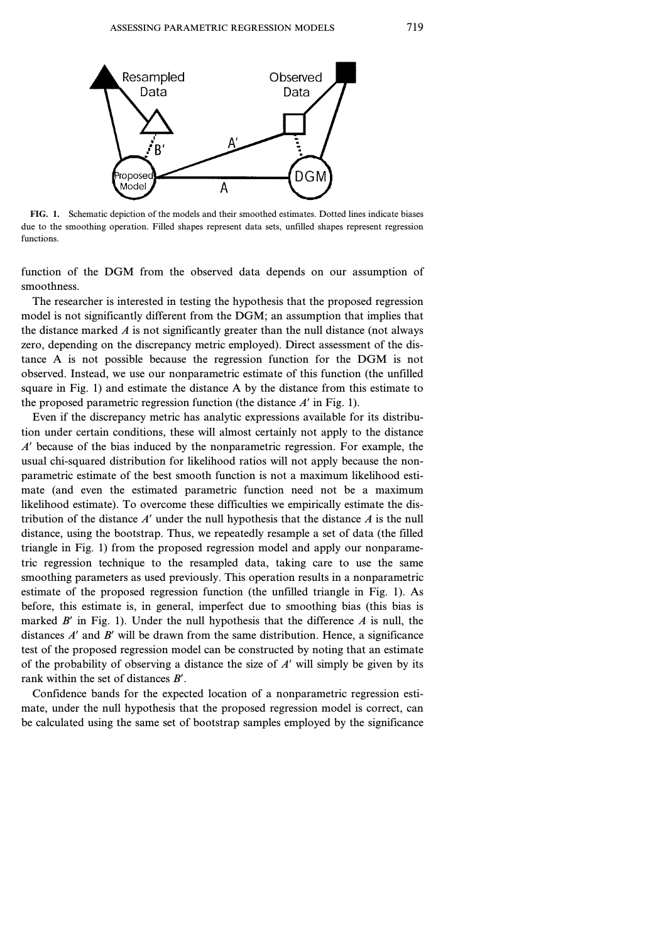

**FIG. 1.** Schematic depiction of the models and their smoothed estimates. Dotted lines indicate biases due to the smoothing operation. Filled shapes represent data sets, unfilled shapes represent regression functions.

function of the DGM from the observed data depends on our assumption of smoothness.

The researcher is interested in testing the hypothesis that the proposed regression model is not significantly different from the DGM; an assumption that implies that the distance marked  $\vec{A}$  is not significantly greater than the null distance (not always zero, depending on the discrepancy metric employed). Direct assessment of the distance A is not possible because the regression function for the DGM is not observed. Instead, we use our nonparametric estimate of this function (the unfilled square in Fig. 1) and estimate the distance A by the distance from this estimate to the proposed parametric regression function (the distance  $A'$  in Fig. 1).

Even if the discrepancy metric has analytic expressions available for its distribution under certain conditions, these will almost certainly not apply to the distance *A*' because of the bias induced by the nonparametric regression. For example, the usual chi-squared distribution for likelihood ratios will not apply because the nonparametric estimate of the best smooth function is not a maximum likelihood estimate (and even the estimated parametric function need not be a maximum likelihood estimate). To overcome these difficulties we empirically estimate the distribution of the distance  $A'$  under the null hypothesis that the distance  $A$  is the null distance, using the bootstrap. Thus, we repeatedly resample a set of data (the filled triangle in Fig. 1) from the proposed regression model and apply our nonparametric regression technique to the resampled data, taking care to use the same smoothing parameters as used previously. This operation results in a nonparametric estimate of the proposed regression function (the unfilled triangle in Fig. 1). As before, this estimate is, in general, imperfect due to smoothing bias (this bias is marked  $B'$  in Fig. 1). Under the null hypothesis that the difference  $A$  is null, the distances  $A'$  and  $B'$  will be drawn from the same distribution. Hence, a significance test of the proposed regression model can be constructed by noting that an estimate of the probability of observing a distance the size of  $A'$  will simply be given by its rank within the set of distances  $B'$ .

Confidence bands for the expected location of a nonparametric regression estimate, under the null hypothesis that the proposed regression model is correct, can be calculated using the same set of bootstrap samples employed by the significance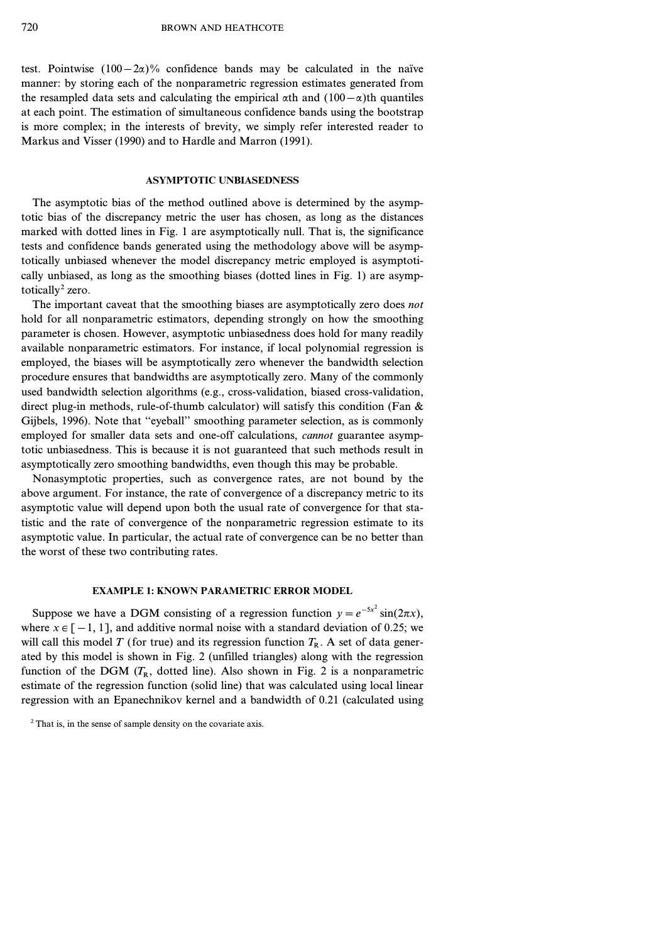test. Pointwise  $(100-2\alpha)$ % confidence bands may be calculated in the naïve manner: by storing each of the nonparametric regression estimates generated from the resampled data sets and calculating the empirical  $\alpha$ th and  $(100 - \alpha)$ th quantiles at each point. The estimation of simultaneous confidence bands using the bootstrap is more complex; in the interests of brevity, we simply refer interested reader to Markus and Visser (1990) and to Hardle and Marron (1991).

## **ASYMPTOTIC UNBIASEDNESS**

The asymptotic bias of the method outlined above is determined by the asymptotic bias of the discrepancy metric the user has chosen, as long as the distances marked with dotted lines in Fig. 1 are asymptotically null. That is, the significance tests and confidence bands generated using the methodology above will be asymptotically unbiased whenever the model discrepancy metric employed is asymptotically unbiased, as long as the smoothing biases (dotted lines in Fig. 1) are asymptotically<sup>2</sup> zero.

The important caveat that the smoothing biases are asymptotically zero does *not* hold for all nonparametric estimators, depending strongly on how the smoothing parameter is chosen. However, asymptotic unbiasedness does hold for many readily available nonparametric estimators. For instance, if local polynomial regression is employed, the biases will be asymptotically zero whenever the bandwidth selection procedure ensures that bandwidths are asymptotically zero. Many of the commonly used bandwidth selection algorithms (e.g., cross-validation, biased cross-validation, direct plug-in methods, rule-of-thumb calculator) will satisfy this condition (Fan & Gijbels, 1996). Note that ''eyeball'' smoothing parameter selection, as is commonly employed for smaller data sets and one-off calculations, *cannot* guarantee asymptotic unbiasedness. This is because it is not guaranteed that such methods result in asymptotically zero smoothing bandwidths, even though this may be probable.

Nonasymptotic properties, such as convergence rates, are not bound by the above argument. For instance, the rate of convergence of a discrepancy metric to its asymptotic value will depend upon both the usual rate of convergence for that statistic and the rate of convergence of the nonparametric regression estimate to its asymptotic value. In particular, the actual rate of convergence can be no better than the worst of these two contributing rates.

## **EXAMPLE 1: KNOWN PARAMETRIC ERROR MODEL**

Suppose we have a DGM consisting of a regression function  $y=e^{-5x^2} \sin(2\pi x)$ , where  $x \in [-1, 1]$ , and additive normal noise with a standard deviation of 0.25; we will call this model *T* (for true) and its regression function  $T<sub>R</sub>$ . A set of data generated by this model is shown in Fig. 2 (unfilled triangles) along with the regression function of the DGM  $(T_R)$ , dotted line). Also shown in Fig. 2 is a nonparametric estimate of the regression function (solid line) that was calculated using local linear regression with an Epanechnikov kernel and a bandwidth of 0.21 (calculated using

<sup>&</sup>lt;sup>2</sup> That is, in the sense of sample density on the covariate axis.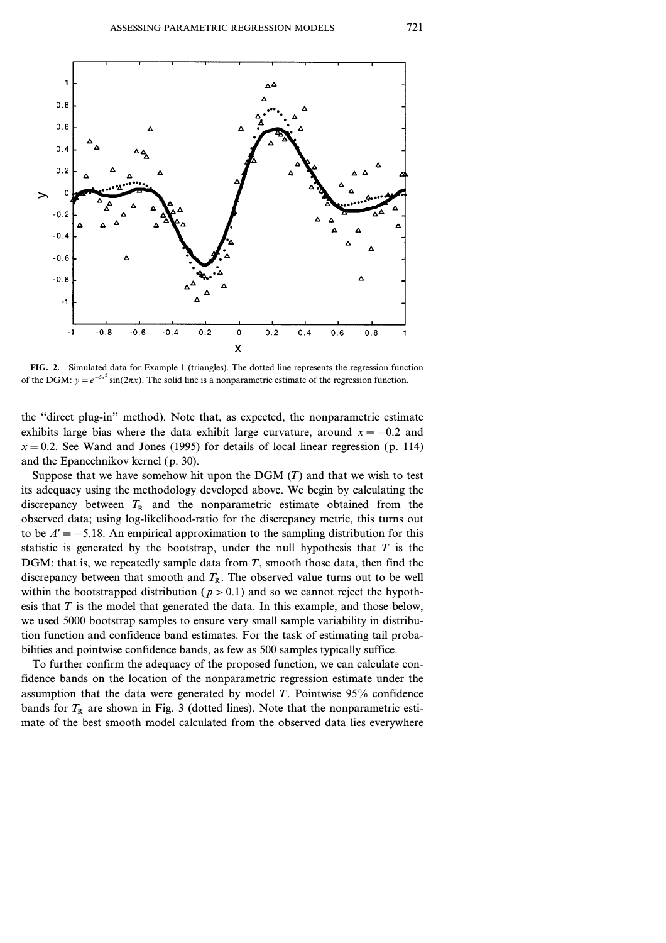

**FIG. 2.** Simulated data for Example 1 (triangles). The dotted line represents the regression function of the DGM:  $y = e^{-5x^2} \sin(2\pi x)$ . The solid line is a nonparametric estimate of the regression function.

the ''direct plug-in'' method). Note that, as expected, the nonparametric estimate exhibits large bias where the data exhibit large curvature, around  $x = -0.2$  and  $x = 0.2$ . See Wand and Jones (1995) for details of local linear regression (p. 114) and the Epanechnikov kernel (p. 30).

Suppose that we have somehow hit upon the DGM (*T*) and that we wish to test its adequacy using the methodology developed above. We begin by calculating the discrepancy between  $T_R$  and the nonparametric estimate obtained from the observed data; using log-likelihood-ratio for the discrepancy metric, this turns out to be  $A' = -5.18$ . An empirical approximation to the sampling distribution for this statistic is generated by the bootstrap, under the null hypothesis that *T* is the DGM: that is, we repeatedly sample data from *T*, smooth those data, then find the discrepancy between that smooth and  $T_R$ . The observed value turns out to be well within the bootstrapped distribution  $(p > 0.1)$  and so we cannot reject the hypothesis that *T* is the model that generated the data. In this example, and those below, we used 5000 bootstrap samples to ensure very small sample variability in distribution function and confidence band estimates. For the task of estimating tail probabilities and pointwise confidence bands, as few as 500 samples typically suffice.

To further confirm the adequacy of the proposed function, we can calculate confidence bands on the location of the nonparametric regression estimate under the assumption that the data were generated by model *T*. Pointwise 95% confidence bands for  $T_R$  are shown in Fig. 3 (dotted lines). Note that the nonparametric estimate of the best smooth model calculated from the observed data lies everywhere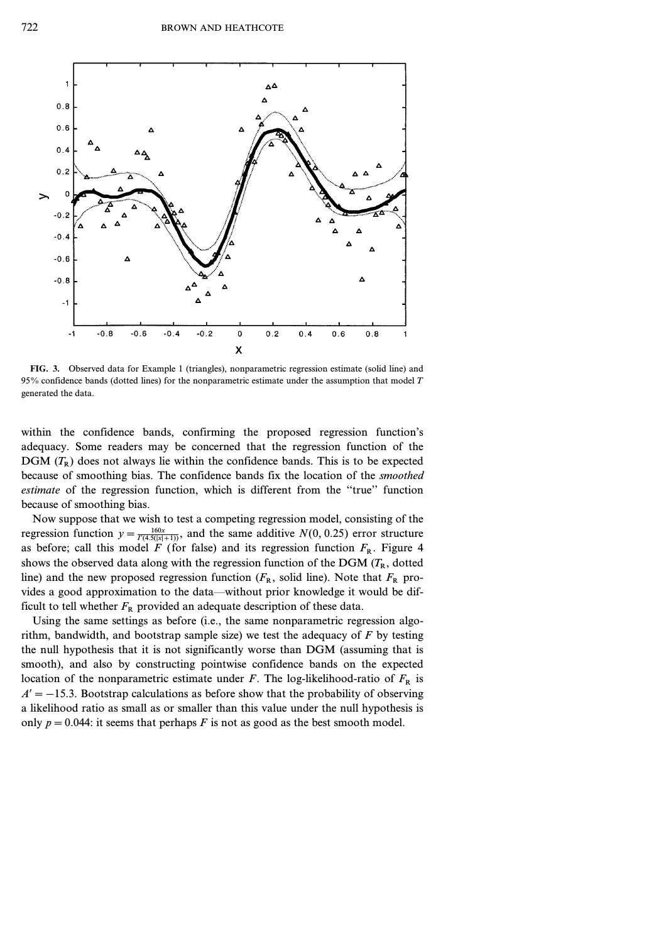

**FIG. 3.** Observed data for Example 1 (triangles), nonparametric regression estimate (solid line) and 95% confidence bands (dotted lines) for the nonparametric estimate under the assumption that model *T* generated the data.

within the confidence bands, confirming the proposed regression function's adequacy. Some readers may be concerned that the regression function of the DGM  $(T_R)$  does not always lie within the confidence bands. This is to be expected because of smoothing bias. The confidence bands fix the location of the *smoothed estimate* of the regression function, which is different from the ''true'' function because of smoothing bias.

Now suppose that we wish to test a competing regression model, consisting of the regression function  $y = \frac{160x}{\Gamma(4.5(|x|+1))}$ , and the same additive  $N(0, 0.25)$  error structure as before; call this model *F* (for false) and its regression function  $F_R$ . Figure 4 shows the observed data along with the regression function of the DGM  $(T_R)$ , dotted line) and the new proposed regression function  $(F_R)$ , solid line). Note that  $F_R$  provides a good approximation to the data—without prior knowledge it would be difficult to tell whether  $F_R$  provided an adequate description of these data.

Using the same settings as before (i.e., the same nonparametric regression algorithm, bandwidth, and bootstrap sample size) we test the adequacy of *F* by testing the null hypothesis that it is not significantly worse than DGM (assuming that is smooth), and also by constructing pointwise confidence bands on the expected location of the nonparametric estimate under *F*. The log-likelihood-ratio of  $F_R$  is  $A' = -15.3$ . Bootstrap calculations as before show that the probability of observing a likelihood ratio as small as or smaller than this value under the null hypothesis is only  $p = 0.044$ : it seems that perhaps *F* is not as good as the best smooth model.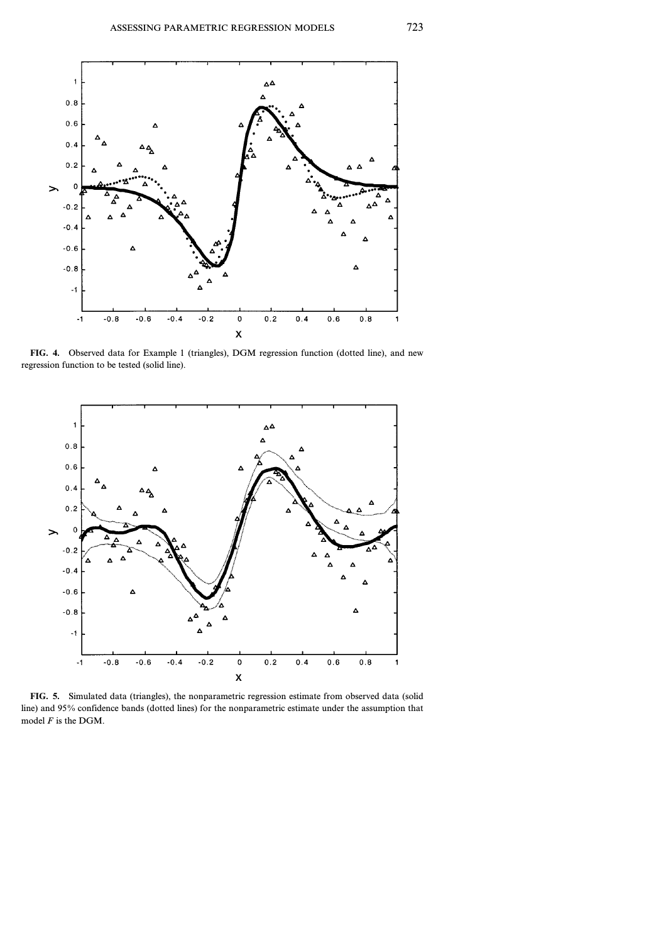

**FIG. 4.** Observed data for Example 1 (triangles), DGM regression function (dotted line), and new regression function to be tested (solid line).



**FIG. 5.** Simulated data (triangles), the nonparametric regression estimate from observed data (solid line) and 95% confidence bands (dotted lines) for the nonparametric estimate under the assumption that model *F* is the DGM.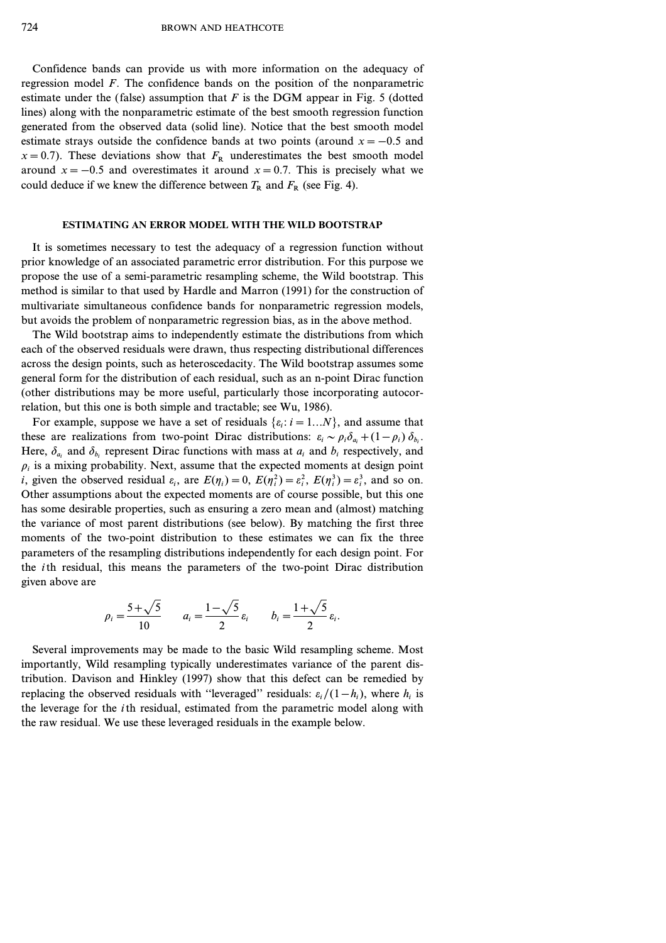Confidence bands can provide us with more information on the adequacy of regression model *F*. The confidence bands on the position of the nonparametric estimate under the (false) assumption that  $F$  is the DGM appear in Fig. 5 (dotted lines) along with the nonparametric estimate of the best smooth regression function generated from the observed data (solid line). Notice that the best smooth model estimate strays outside the confidence bands at two points (around  $x = -0.5$  and  $x = 0.7$ ). These deviations show that  $F_R$  underestimates the best smooth model around  $x = -0.5$  and overestimates it around  $x = 0.7$ . This is precisely what we could deduce if we knew the difference between  $T_R$  and  $F_R$  (see Fig. 4).

## **ESTIMATING AN ERROR MODEL WITH THE WILD BOOTSTRAP**

It is sometimes necessary to test the adequacy of a regression function without prior knowledge of an associated parametric error distribution. For this purpose we propose the use of a semi-parametric resampling scheme, the Wild bootstrap. This method is similar to that used by Hardle and Marron (1991) for the construction of multivariate simultaneous confidence bands for nonparametric regression models, but avoids the problem of nonparametric regression bias, as in the above method.

The Wild bootstrap aims to independently estimate the distributions from which each of the observed residuals were drawn, thus respecting distributional differences across the design points, such as heteroscedacity. The Wild bootstrap assumes some general form for the distribution of each residual, such as an n-point Dirac function (other distributions may be more useful, particularly those incorporating autocorrelation, but this one is both simple and tractable; see Wu, 1986).

For example, suppose we have a set of residuals  $\{\varepsilon_i : i = 1...N\}$ , and assume that these are realizations from two-point Dirac distributions:  $\varepsilon_i \sim \rho_i \delta_{a_i} + (1 - \rho_i) \delta_{b_i}$ . Here,  $\delta_{a_i}$  and  $\delta_{b_i}$  represent Dirac functions with mass at  $a_i$  and  $b_i$  respectively, and  $\rho_i$  is a mixing probability. Next, assume that the expected moments at design point *i*, given the observed residual  $\varepsilon_i$ , are  $E(\eta_i) = 0$ ,  $E(\eta_i^2) = \varepsilon_i^2$ ,  $E(\eta_i^3) = \varepsilon_i^3$ , and so on. Other assumptions about the expected moments are of course possible, but this one has some desirable properties, such as ensuring a zero mean and (almost) matching the variance of most parent distributions (see below). By matching the first three moments of the two-point distribution to these estimates we can fix the three parameters of the resampling distributions independently for each design point. For the *i*th residual, this means the parameters of the two-point Dirac distribution given above are

$$
\rho_i = \frac{5 + \sqrt{5}}{10}
$$
\n $a_i = \frac{1 - \sqrt{5}}{2} \varepsilon_i$ \n $b_i = \frac{1 + \sqrt{5}}{2} \varepsilon_i$ 

Several improvements may be made to the basic Wild resampling scheme. Most importantly, Wild resampling typically underestimates variance of the parent distribution. Davison and Hinkley (1997) show that this defect can be remedied by replacing the observed residuals with "leveraged" residuals:  $\varepsilon_i/(1-h_i)$ , where  $h_i$  is the leverage for the *i*th residual, estimated from the parametric model along with the raw residual. We use these leveraged residuals in the example below.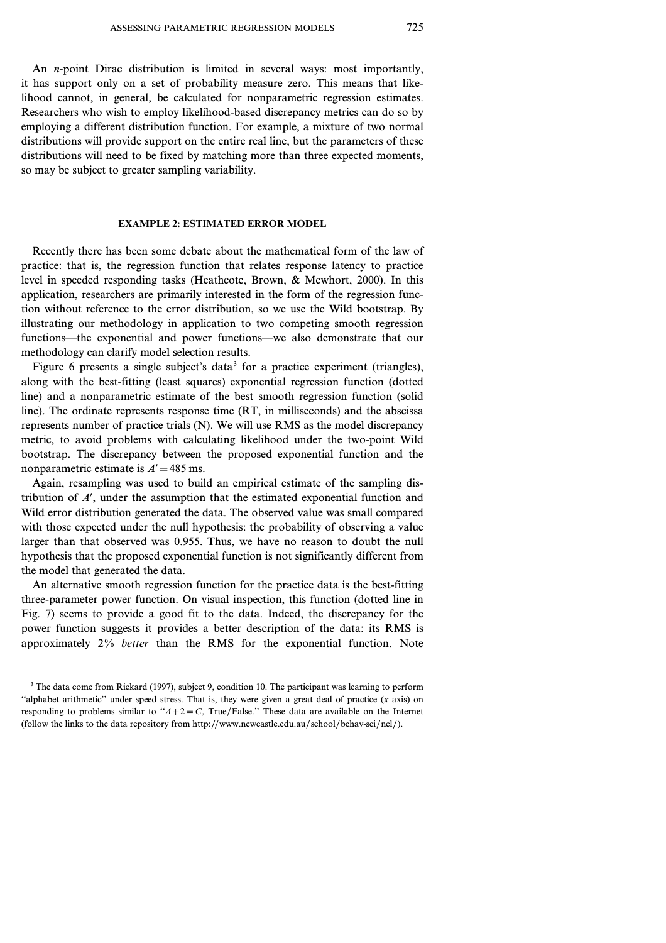An *n*-point Dirac distribution is limited in several ways: most importantly, it has support only on a set of probability measure zero. This means that likelihood cannot, in general, be calculated for nonparametric regression estimates. Researchers who wish to employ likelihood-based discrepancy metrics can do so by employing a different distribution function. For example, a mixture of two normal distributions will provide support on the entire real line, but the parameters of these distributions will need to be fixed by matching more than three expected moments, so may be subject to greater sampling variability.

# **EXAMPLE 2: ESTIMATED ERROR MODEL**

Recently there has been some debate about the mathematical form of the law of practice: that is, the regression function that relates response latency to practice level in speeded responding tasks (Heathcote, Brown, & Mewhort, 2000). In this application, researchers are primarily interested in the form of the regression function without reference to the error distribution, so we use the Wild bootstrap. By illustrating our methodology in application to two competing smooth regression functions—the exponential and power functions—we also demonstrate that our methodology can clarify model selection results.

Figure 6 presents a single subject's data<sup>3</sup> for a practice experiment (triangles), along with the best-fitting (least squares) exponential regression function (dotted line) and a nonparametric estimate of the best smooth regression function (solid line). The ordinate represents response time (RT, in milliseconds) and the abscissa represents number of practice trials (N). We will use RMS as the model discrepancy metric, to avoid problems with calculating likelihood under the two-point Wild bootstrap. The discrepancy between the proposed exponential function and the nonparametric estimate is  $A' = 485$  ms.

Again, resampling was used to build an empirical estimate of the sampling distribution of  $A'$ , under the assumption that the estimated exponential function and Wild error distribution generated the data. The observed value was small compared with those expected under the null hypothesis: the probability of observing a value larger than that observed was 0.955. Thus, we have no reason to doubt the null hypothesis that the proposed exponential function is not significantly different from the model that generated the data.

An alternative smooth regression function for the practice data is the best-fitting three-parameter power function. On visual inspection, this function (dotted line in Fig. 7) seems to provide a good fit to the data. Indeed, the discrepancy for the power function suggests it provides a better description of the data: its RMS is approximately 2% *better* than the RMS for the exponential function. Note

<sup>&</sup>lt;sup>3</sup> The data come from Rickard (1997), subject 9, condition 10. The participant was learning to perform "alphabet arithmetic" under speed stress. That is, they were given a great deal of practice  $(x \text{ axis})$  on responding to problems similar to " $A+2=C$ , True/False." These data are available on the Internet (follow the links to the data repository from http://www.newcastle.edu.au/school/behav-sci/ncl/).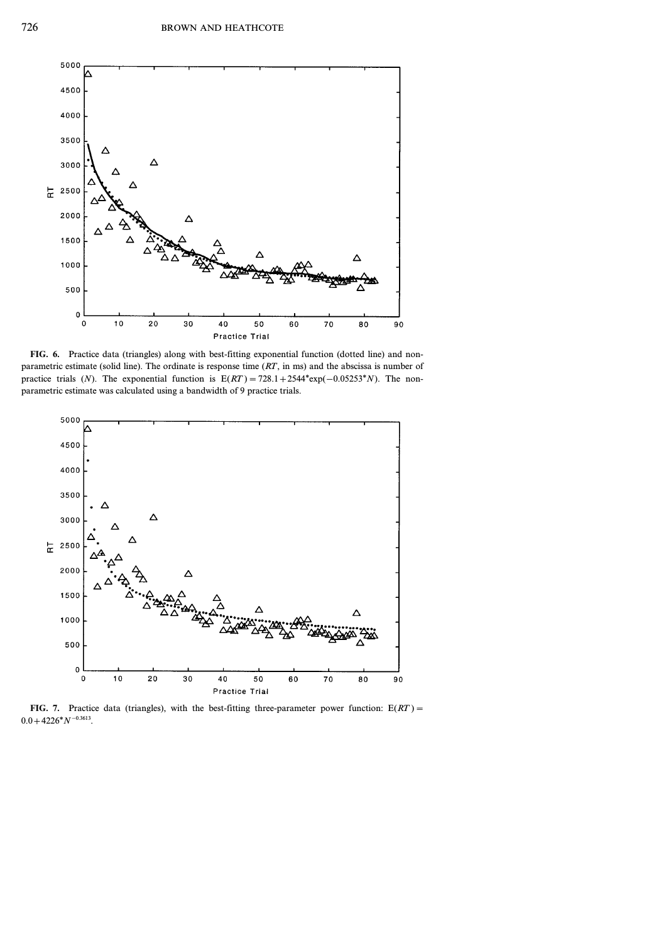

**FIG. 6.** Practice data (triangles) along with best-fitting exponential function (dotted line) and nonparametric estimate (solid line). The ordinate is response time (*RT*, in ms) and the abscissa is number of practice trials (*N*). The exponential function is E*(RT)=728.1+2544\**exp*(−0.05253\*N)*. The nonparametric estimate was calculated using a bandwidth of 9 practice trials.



**FIG. 7.** Practice data (triangles), with the best-fitting three-parameter power function: E*(RT)= 0.0+4226\*N−0.3613*.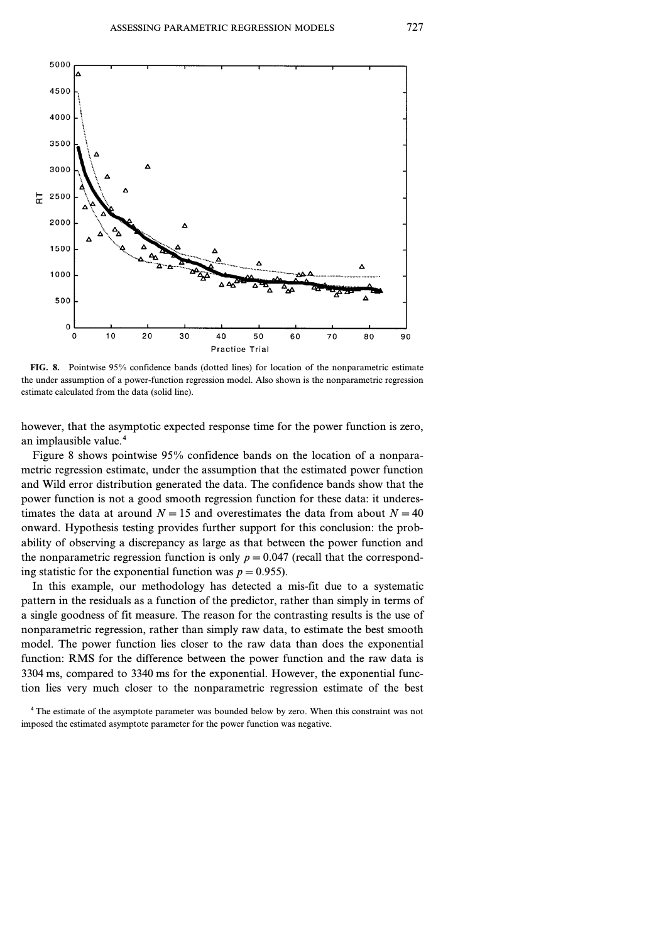

**FIG. 8.** Pointwise 95% confidence bands (dotted lines) for location of the nonparametric estimate the under assumption of a power-function regression model. Also shown is the nonparametric regression estimate calculated from the data (solid line).

however, that the asymptotic expected response time for the power function is zero, an implausible value.<sup>4</sup>

Figure 8 shows pointwise 95% confidence bands on the location of a nonparametric regression estimate, under the assumption that the estimated power function and Wild error distribution generated the data. The confidence bands show that the power function is not a good smooth regression function for these data: it underestimates the data at around  $N=15$  and overestimates the data from about  $N=40$ onward. Hypothesis testing provides further support for this conclusion: the probability of observing a discrepancy as large as that between the power function and the nonparametric regression function is only  $p = 0.047$  (recall that the corresponding statistic for the exponential function was  $p = 0.955$ .

In this example, our methodology has detected a mis-fit due to a systematic pattern in the residuals as a function of the predictor, rather than simply in terms of a single goodness of fit measure. The reason for the contrasting results is the use of nonparametric regression, rather than simply raw data, to estimate the best smooth model. The power function lies closer to the raw data than does the exponential function: RMS for the difference between the power function and the raw data is 3304 ms, compared to 3340 ms for the exponential. However, the exponential function lies very much closer to the nonparametric regression estimate of the best

<sup>4</sup> The estimate of the asymptote parameter was bounded below by zero. When this constraint was not imposed the estimated asymptote parameter for the power function was negative.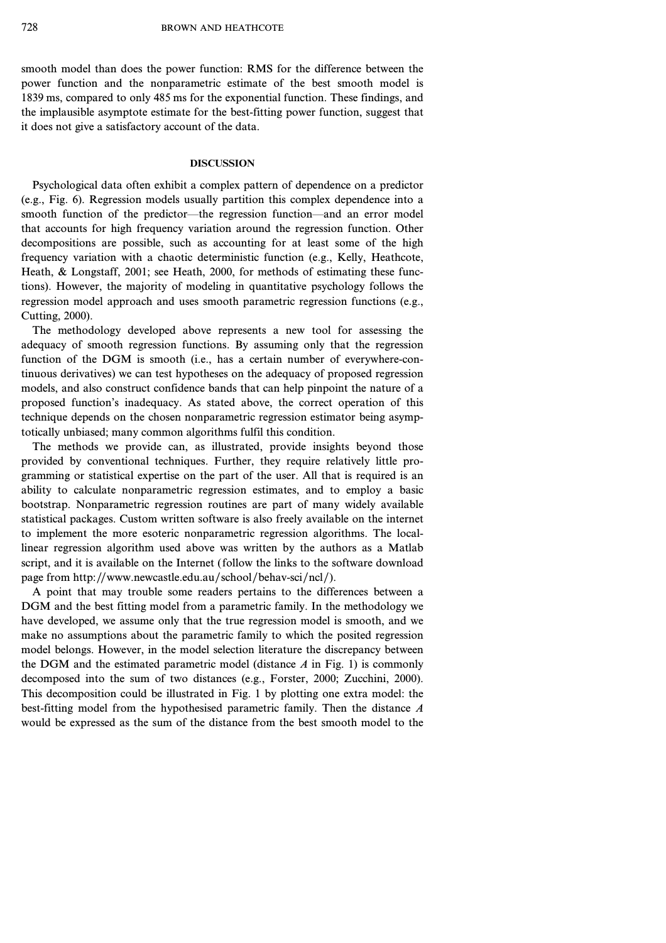smooth model than does the power function: RMS for the difference between the power function and the nonparametric estimate of the best smooth model is 1839 ms, compared to only 485 ms for the exponential function. These findings, and the implausible asymptote estimate for the best-fitting power function, suggest that it does not give a satisfactory account of the data.

# **DISCUSSION**

Psychological data often exhibit a complex pattern of dependence on a predictor (e.g., Fig. 6). Regression models usually partition this complex dependence into a smooth function of the predictor—the regression function—and an error model that accounts for high frequency variation around the regression function. Other decompositions are possible, such as accounting for at least some of the high frequency variation with a chaotic deterministic function (e.g., Kelly, Heathcote, Heath, & Longstaff, 2001; see Heath, 2000, for methods of estimating these functions). However, the majority of modeling in quantitative psychology follows the regression model approach and uses smooth parametric regression functions (e.g., Cutting, 2000).

The methodology developed above represents a new tool for assessing the adequacy of smooth regression functions. By assuming only that the regression function of the DGM is smooth (i.e., has a certain number of everywhere-continuous derivatives) we can test hypotheses on the adequacy of proposed regression models, and also construct confidence bands that can help pinpoint the nature of a proposed function's inadequacy. As stated above, the correct operation of this technique depends on the chosen nonparametric regression estimator being asymptotically unbiased; many common algorithms fulfil this condition.

The methods we provide can, as illustrated, provide insights beyond those provided by conventional techniques. Further, they require relatively little programming or statistical expertise on the part of the user. All that is required is an ability to calculate nonparametric regression estimates, and to employ a basic bootstrap. Nonparametric regression routines are part of many widely available statistical packages. Custom written software is also freely available on the internet to implement the more esoteric nonparametric regression algorithms. The locallinear regression algorithm used above was written by the authors as a Matlab script, and it is available on the Internet ( follow the links to the software download page from http://www.newcastle.edu.au/school/behav-sci/ncl/).

A point that may trouble some readers pertains to the differences between a DGM and the best fitting model from a parametric family. In the methodology we have developed, we assume only that the true regression model is smooth, and we make no assumptions about the parametric family to which the posited regression model belongs. However, in the model selection literature the discrepancy between the DGM and the estimated parametric model (distance *A* in Fig. 1) is commonly decomposed into the sum of two distances (e.g., Forster, 2000; Zucchini, 2000). This decomposition could be illustrated in Fig. 1 by plotting one extra model: the best-fitting model from the hypothesised parametric family. Then the distance *A* would be expressed as the sum of the distance from the best smooth model to the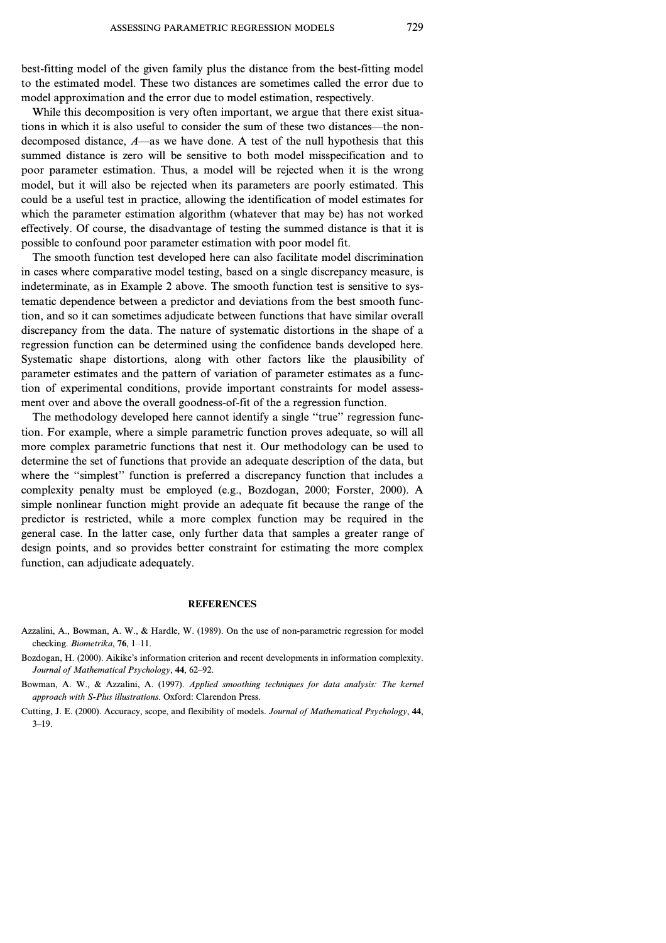best-fitting model of the given family plus the distance from the best-fitting model to the estimated model. These two distances are sometimes called the error due to model approximation and the error due to model estimation, respectively.

While this decomposition is very often important, we argue that there exist situations in which it is also useful to consider the sum of these two distances—the nondecomposed distance, *A*—as we have done. A test of the null hypothesis that this summed distance is zero will be sensitive to both model misspecification and to poor parameter estimation. Thus, a model will be rejected when it is the wrong model, but it will also be rejected when its parameters are poorly estimated. This could be a useful test in practice, allowing the identification of model estimates for which the parameter estimation algorithm (whatever that may be) has not worked effectively. Of course, the disadvantage of testing the summed distance is that it is possible to confound poor parameter estimation with poor model fit.

The smooth function test developed here can also facilitate model discrimination in cases where comparative model testing, based on a single discrepancy measure, is indeterminate, as in Example 2 above. The smooth function test is sensitive to systematic dependence between a predictor and deviations from the best smooth function, and so it can sometimes adjudicate between functions that have similar overall discrepancy from the data. The nature of systematic distortions in the shape of a regression function can be determined using the confidence bands developed here. Systematic shape distortions, along with other factors like the plausibility of parameter estimates and the pattern of variation of parameter estimates as a function of experimental conditions, provide important constraints for model assessment over and above the overall goodness-of-fit of the a regression function.

The methodology developed here cannot identify a single "true" regression function. For example, where a simple parametric function proves adequate, so will all more complex parametric functions that nest it. Our methodology can be used to determine the set of functions that provide an adequate description of the data, but where the ''simplest'' function is preferred a discrepancy function that includes a complexity penalty must be employed (e.g., Bozdogan, 2000; Forster, 2000). A simple nonlinear function might provide an adequate fit because the range of the predictor is restricted, while a more complex function may be required in the general case. In the latter case, only further data that samples a greater range of design points, and so provides better constraint for estimating the more complex function, can adjudicate adequately.

### **REFERENCES**

- Azzalini, A., Bowman, A. W., & Hardle, W. (1989). On the use of non-parametric regression for model checking. *Biometrika*, **76**, 1–11.
- Bozdogan, H. (2000). Aikike's information criterion and recent developments in information complexity. *Journal of Mathematical Psychology*, **44**, 62–92.
- Bowman, A. W., & Azzalini, A. (1997). *Applied smoothing techniques for data analysis: The kernel approach with S-Plus illustrations*. Oxford: Clarendon Press.
- Cutting, J. E. (2000). Accuracy, scope, and flexibility of models. *Journal of Mathematical Psychology*, **44**, 3–19.